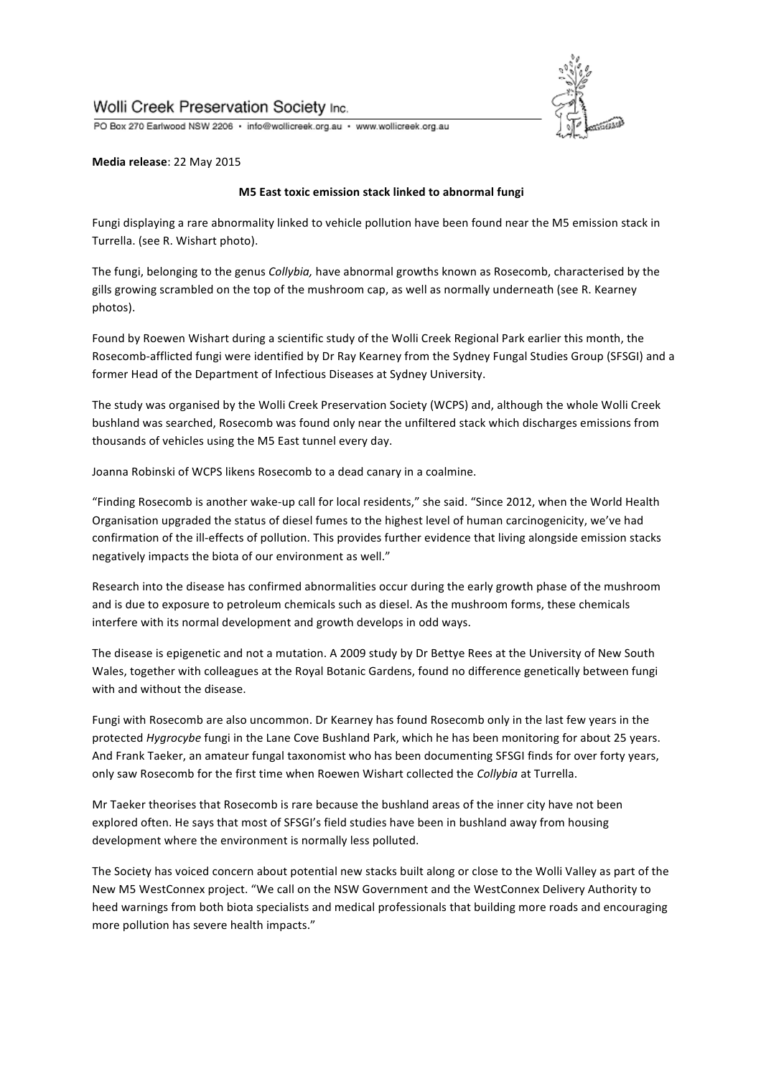

## Wolli Creek Preservation Society Inc.

PO Box 270 Earlwood NSW 2206 · info@wollicreek.org.au · www.wollicreek.org.au

## **Media release**: 22 May 2015

## **M5 East toxic emission stack linked to abnormal fungi**

Fungi displaying a rare abnormality linked to vehicle pollution have been found near the M5 emission stack in Turrella. (see R. Wishart photo).

The fungi, belonging to the genus *Collybia*, have abnormal growths known as Rosecomb, characterised by the gills growing scrambled on the top of the mushroom cap, as well as normally underneath (see R. Kearney photos).

Found by Roewen Wishart during a scientific study of the Wolli Creek Regional Park earlier this month, the Rosecomb-afflicted fungi were identified by Dr Ray Kearney from the Sydney Fungal Studies Group (SFSGI) and a former Head of the Department of Infectious Diseases at Sydney University.

The study was organised by the Wolli Creek Preservation Society (WCPS) and, although the whole Wolli Creek bushland was searched, Rosecomb was found only near the unfiltered stack which discharges emissions from thousands of vehicles using the M5 East tunnel every day.

Joanna Robinski of WCPS likens Rosecomb to a dead canary in a coalmine.

"Finding Rosecomb is another wake-up call for local residents," she said. "Since 2012, when the World Health Organisation upgraded the status of diesel fumes to the highest level of human carcinogenicity, we've had confirmation of the ill-effects of pollution. This provides further evidence that living alongside emission stacks negatively impacts the biota of our environment as well."

Research into the disease has confirmed abnormalities occur during the early growth phase of the mushroom and is due to exposure to petroleum chemicals such as diesel. As the mushroom forms, these chemicals interfere with its normal development and growth develops in odd ways.

The disease is epigenetic and not a mutation. A 2009 study by Dr Bettye Rees at the University of New South Wales, together with colleagues at the Royal Botanic Gardens, found no difference genetically between fungi with and without the disease.

Fungi with Rosecomb are also uncommon. Dr Kearney has found Rosecomb only in the last few years in the protected *Hygrocybe* fungi in the Lane Cove Bushland Park, which he has been monitoring for about 25 years. And Frank Taeker, an amateur fungal taxonomist who has been documenting SFSGI finds for over forty years, only saw Rosecomb for the first time when Roewen Wishart collected the *Collybia* at Turrella.

Mr Taeker theorises that Rosecomb is rare because the bushland areas of the inner city have not been explored often. He says that most of SFSGI's field studies have been in bushland away from housing development where the environment is normally less polluted.

The Society has voiced concern about potential new stacks built along or close to the Wolli Valley as part of the New M5 WestConnex project. "We call on the NSW Government and the WestConnex Delivery Authority to heed warnings from both biota specialists and medical professionals that building more roads and encouraging more pollution has severe health impacts."